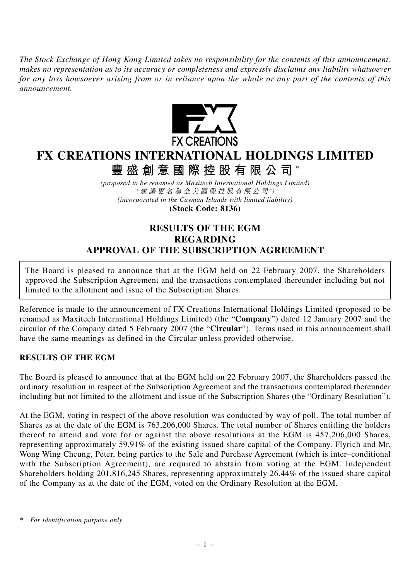*The Stock Exchange of Hong Kong Limited takes no responsibility for the contents of this announcement, makes no representation as to its accuracy or completeness and expressly disclaims any liability whatsoever for any loss howsoever arising from or in reliance upon the whole or any part of the contents of this announcement.*



## **FX CREATIONS INTERNATIONAL HOLDINGS LIMITED 豐盛創意國際控股有限公司** \*

*(proposed to be renamed as Maxitech International Holdings Limited)* (建議更名為全美國際控股有限公司 *\** ) *(incorporated in the Cayman Islands with limited liability)* **(Stock Code: 8136)**

## **RESULTS OF THE EGM REGARDING APPROVAL OF THE SUBSCRIPTION AGREEMENT**

The Board is pleased to announce that at the EGM held on 22 February 2007, the Shareholders approved the Subscription Agreement and the transactions contemplated thereunder including but not limited to the allotment and issue of the Subscription Shares.

Reference is made to the announcement of FX Creations International Holdings Limited (proposed to be renamed as Maxitech International Holdings Limited) (the "**Company**") dated 12 January 2007 and the circular of the Company dated 5 February 2007 (the "**Circular**"). Terms used in this announcement shall have the same meanings as defined in the Circular unless provided otherwise.

## **RESULTS OF THE EGM**

The Board is pleased to announce that at the EGM held on 22 February 2007, the Shareholders passed the ordinary resolution in respect of the Subscription Agreement and the transactions contemplated thereunder including but not limited to the allotment and issue of the Subscription Shares (the "Ordinary Resolution").

At the EGM, voting in respect of the above resolution was conducted by way of poll. The total number of Shares as at the date of the EGM is 763,206,000 Shares. The total number of Shares entitling the holders thereof to attend and vote for or against the above resolutions at the EGM is 457,206,000 Shares, representing approximately 59.91% of the existing issued share capital of the Company. Flyrich and Mr. Wong Wing Cheung, Peter, being parties to the Sale and Purchase Agreement (which is inter–conditional with the Subscription Agreement), are required to abstain from voting at the EGM. Independent Shareholders holding 201,816,245 Shares, representing approximately 26.44% of the issued share capital of the Company as at the date of the EGM, voted on the Ordinary Resolution at the EGM.

*<sup>\*</sup> For identification purpose only*